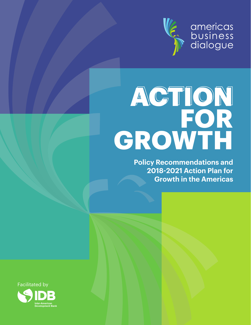

americas<br>business<br>dialogue

## **ACTION FOR GROWTH**

**Policy Recommendations and 2018-2021 Action Plan for Growth in the Americas**



**Development Bank**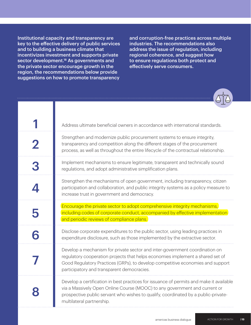Institutional capacity and transparency are key to the effective delivery of public services and to building a business climate that incentivizes investment and supports private sector development.<sup>18</sup> As governments and the private sector encourage growth in the region, the recommendations below provide suggestions on how to promote transparency

and corruption-free practices across multiple industries. The recommendations also address the issue of regulation, including regional coherence, and suggest how to ensure regulations both protect and effectively serve consumers.



| Address ultimate beneficial owners in accordance with international standards.                                                                                                                                                                                                                |
|-----------------------------------------------------------------------------------------------------------------------------------------------------------------------------------------------------------------------------------------------------------------------------------------------|
| Strengthen and modernize public procurement systems to ensure integrity,<br>transparency and competition along the different stages of the procurement<br>process, as well as throughout the entire lifecycle of the contractual relationship.                                                |
| Implement mechanisms to ensure legitimate, transparent and technically sound<br>regulations, and adopt administrative simplification plans.                                                                                                                                                   |
| Strengthen the mechanisms of open government, including transparency, citizen<br>participation and collaboration, and public integrity systems as a policy measure to<br>increase trust in government and democracy.                                                                          |
| Encourage the private sector to adopt comprehensive integrity mechanisms,<br>including codes of corporate conduct, accompanied by effective implementation<br>and periodic reviews of compliance plans.                                                                                       |
| Disclose corporate expenditures to the public sector, using leading practices in<br>expenditure disclosure, such as those implemented by the extractive sector.                                                                                                                               |
| Develop a mechanism for private sector and inter-government coordination on<br>regulatory cooperation projects that helps economies implement a shared set of<br>Good Regulatory Practices (GRPs), to develop competitive economies and support<br>participatory and transparent democracies. |
| Develop a certification in best practices for issuance of permits and make it available<br>via a Massively Open Online Course (MOOC) to any government and current or<br>prospective public servant who wishes to qualify, coordinated by a public-private-<br>multilateral partnership.      |

05  **| 13 | 11**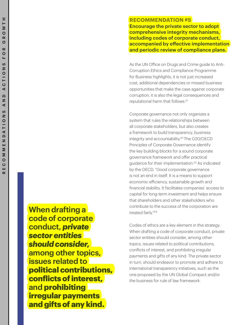**RECOMMENDATION #5 Encourage the private sector to adopt comprehensive integrity mechanisms, including codes of corporate conduct, accompanied by effective implementation and periodic review of compliance plans.** 

As the UN Office on Drugs and Crime guide to Anti-Corruption Ethics and Compliance Programme for Business highlights, it is not just increased cost, additional dependencies or missed business opportunities that make the case against corporate corruption, it is also the legal consequences and reputational harm that follows.<sup>61</sup>

Corporate governance not only organizes a system that rules the relationships between all corporate stakeholders, but also creates a framework to build transparency, business integrity and accountability.<sup>62</sup> The G20/OECD Principles of Corporate Governance identify the key building blocks for a sound corporate governance framework and offer practical guidance for their implementation.<sup>63</sup> As indicated by the OECD, "Good corporate governance is not an end in itself. It is a means to support economic efficiency, sustainable growth and financial stability. It facilitates companies' access to capital for long-term investment and helps ensure that shareholders and other stakeholders who contribute to the success of the corporation are treated fairly."64

Codes of ethics are a key element in this strategy. When drafting a code of corporate conduct, private sector entities should consider, among other topics, issues related to political contributions, conflicts of interest, and prohibiting irregular payments and gifts of any kind. The private sector in turn, should endeavor to promote and adhere to international transparency initiatives, such as the one proposed by the UN Global Compact and/or the business for rule of law framework.

**When drafting a code of corporate conduct,** *private sector entities should consider,* **among other topics, issues related to** political contributions, conflicts of interest, **and** prohibiting irregular payments and gifts of any kind.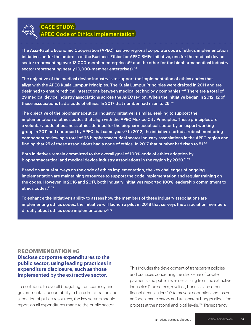

## CASE STUDY:

## APEC Code of Ethics Implementation

The Asia-Pacific Economic Cooperation (APEC) has two regional corporate code of ethics implementation initiatives under the umbrella of the Business Ethics for APEC SMEs Initiative, one for the medical device sector (representing over 13,000-member enterprises)<sup>65</sup> and the other for the biopharmaceutical industry sector (representing nearly 10,000-member enterprises).<sup>66</sup>

The objective of the medical device industry is to support the implementation of ethics codes that align with the APEC Kuala Lumpur Principles. The Kuala Lumpur Principles were drafted in 2011 and are designed to ensure "ethical interactions between medical technology companies."<sup>67</sup> There are a total of 29 medical device industry associations across the APEC region. When the initiative began in 2012, 12 of these associations had a code of ethics. In 2017 that number had risen to 26. $^{\rm 68}$ 

The objective of the biopharmaceutical industry initiative is similar, seeking to support the implementation of ethics codes that align with the APEC Mexico City Principles. These principles are a voluntary code of business ethics defined for the biopharmaceutical sector by an expert working group in 2011 and endorsed by APEC that same year.<sup>69</sup> In 2012, the initiative started a robust monitoring component reviewing a total of 66 biopharmaceutical sector industry associations in the APEC region and finding that 25 of these associations had a code of ethics. In 2017 that number had risen to 51.<sup>70</sup>

Both initiatives remain committed to the overall goal of 100% code of ethics adoption by biopharmaceutical and medical device industry associations in the region by 2020.<sup>71,72</sup>

Based on annual surveys on the code of ethics implementation, the key challenges of ongoing implementation are maintaining resources to support the code implementation and regular training on the codes. However, in 2016 and 2017, both industry initiatives reported 100% leadership commitment to ethics codes.<sup>73,74</sup>

To enhance the initiative's ability to assess how the members of these industry associations are implementing ethics codes, the initiative will launch a pilot in 2018 that surveys the association members directly about ethics code implementation.<sup>75,76</sup>

## **RECOMMENDATION #6**

**Disclose corporate expenditures to the public sector, using leading practices in expenditure disclosure, such as those implemented by the extractive sector.** 

To contribute to overall budgeting transparency and governmental accountability in the administration and allocation of public resources, the key sectors should report on all expenditures made to the public sector.

This includes the development of transparent policies and practices concerning the disclosure of private payments and public revenues arising from the extractive industries ("taxes, fees, royalties, bonuses and other financial transactions")77 to prevent corruption and foster an "open, participatory and transparent budget allocation process at the national and local levels."78 Transparency